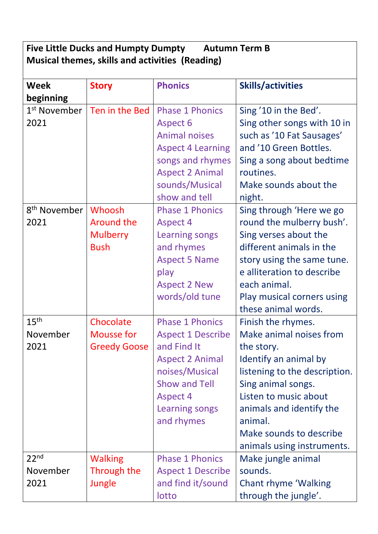## **Five Little Ducks and Humpty Dumpty Autumn Term B Musical themes, skills and activities (Reading)**

| <b>Week</b>                          | <b>Story</b>                                                  | <b>Phonics</b>                                                                                                                                                                                  | <b>Skills/activities</b>                                                                                                                                                                                                                                             |
|--------------------------------------|---------------------------------------------------------------|-------------------------------------------------------------------------------------------------------------------------------------------------------------------------------------------------|----------------------------------------------------------------------------------------------------------------------------------------------------------------------------------------------------------------------------------------------------------------------|
| beginning                            |                                                               |                                                                                                                                                                                                 |                                                                                                                                                                                                                                                                      |
| 1 <sup>st</sup> November<br>2021     | Ten in the Bed                                                | <b>Phase 1 Phonics</b><br>Aspect 6<br><b>Animal noises</b><br><b>Aspect 4 Learning</b><br>songs and rhymes<br><b>Aspect 2 Animal</b><br>sounds/Musical<br>show and tell                         | Sing '10 in the Bed'.<br>Sing other songs with 10 in<br>such as '10 Fat Sausages'<br>and '10 Green Bottles.<br>Sing a song about bedtime<br>routines.<br>Make sounds about the<br>night.                                                                             |
| 8 <sup>th</sup> November<br>2021     | Whoosh<br><b>Around the</b><br><b>Mulberry</b><br><b>Bush</b> | <b>Phase 1 Phonics</b><br><b>Aspect 4</b><br><b>Learning songs</b><br>and rhymes<br><b>Aspect 5 Name</b><br>play<br><b>Aspect 2 New</b><br>words/old tune                                       | Sing through 'Here we go<br>round the mulberry bush'.<br>Sing verses about the<br>different animals in the<br>story using the same tune.<br>e alliteration to describe<br>each animal.<br>Play musical corners using<br>these animal words.                          |
| 15 <sup>th</sup><br>November<br>2021 | Chocolate<br><b>Mousse for</b><br><b>Greedy Goose</b>         | <b>Phase 1 Phonics</b><br><b>Aspect 1 Describe</b><br>and Find It<br><b>Aspect 2 Animal</b><br>noises/Musical<br><b>Show and Tell</b><br><b>Aspect 4</b><br><b>Learning songs</b><br>and rhymes | Finish the rhymes.<br>Make animal noises from<br>the story.<br>Identify an animal by<br>listening to the description.<br>Sing animal songs.<br>Listen to music about<br>animals and identify the<br>animal.<br>Make sounds to describe<br>animals using instruments. |
| 22 <sub>nd</sub><br>November<br>2021 | <b>Walking</b><br>Through the<br>Jungle                       | <b>Phase 1 Phonics</b><br><b>Aspect 1 Describe</b><br>and find it/sound<br>lotto                                                                                                                | Make jungle animal<br>sounds.<br><b>Chant rhyme 'Walking</b><br>through the jungle'.                                                                                                                                                                                 |